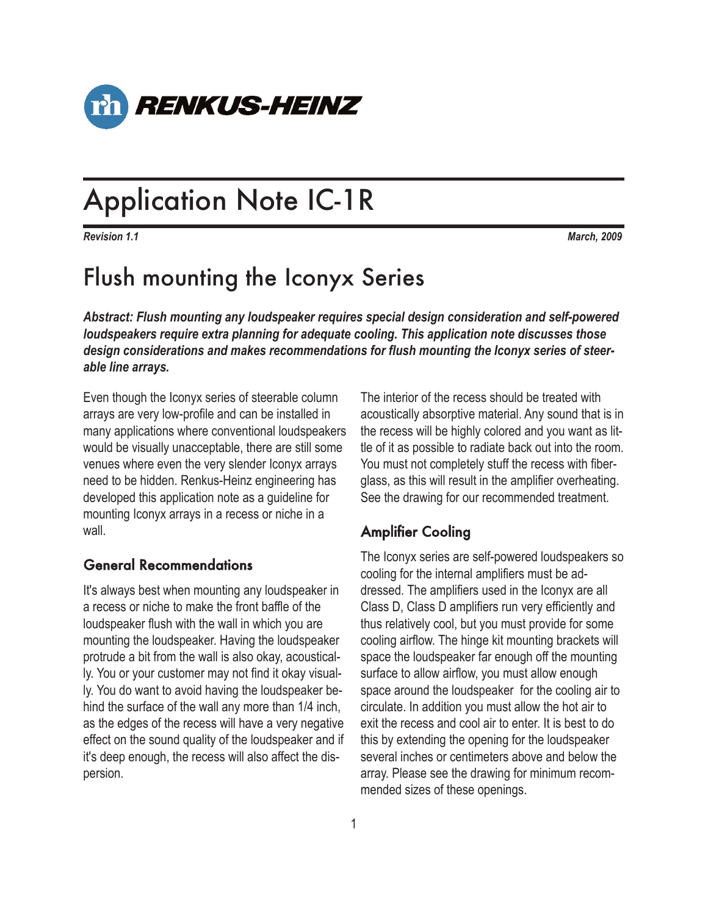

# Application Note IC-1R

*Revision 1.1 March, 2009*

# Flush mounting the Iconyx Series

*Abstract: Flush mounting any loudspeaker requires special design consideration and self-powered loudspeakers require extra planning for adequate cooling. This application note discusses those design considerations and makes recommendations for flush mounting the Iconyx series of steerable line arrays.*

Even though the Iconyx series of steerable column arrays are very low-profile and can be installed in many applications where conventional loudspeakers would be visually unacceptable, there are still some venues where even the very slender Iconyx arrays need to be hidden. Renkus-Heinz engineering has developed this application note as a guideline for mounting Iconyx arrays in a recess or niche in a wall.

#### General Recommendations

It's always best when mounting any loudspeaker in a recess or niche to make the front baffle of the loudspeaker flush with the wall in which you are mounting the loudspeaker. Having the loudspeaker protrude a bit from the wall is also okay, acoustically. You or your customer may not find it okay visually. You do want to avoid having the loudspeaker behind the surface of the wall any more than 1/4 inch, as the edges of the recess will have a very negative effect on the sound quality of the loudspeaker and if it's deep enough, the recess will also affect the dispersion.

The interior of the recess should be treated with acoustically absorptive material. Any sound that is in the recess will be highly colored and you want as little of it as possible to radiate back out into the room. You must not completely stuff the recess with fiberglass, as this will result in the amplifier overheating. See the drawing for our recommended treatment.

## Amplifier Cooling

The Iconyx series are self-powered loudspeakers so cooling for the internal amplifiers must be addressed. The amplifiers used in the Iconyx are all Class D, Class D amplifiers run very efficiently and thus relatively cool, but you must provide for some cooling airflow. The hinge kit mounting brackets will space the loudspeaker far enough off the mounting surface to allow airflow, you must allow enough space around the loudspeaker for the cooling air to circulate. In addition you must allow the hot air to exit the recess and cool air to enter. It is best to do this by extending the opening for the loudspeaker several inches or centimeters above and below the array. Please see the drawing for minimum recommended sizes of these openings.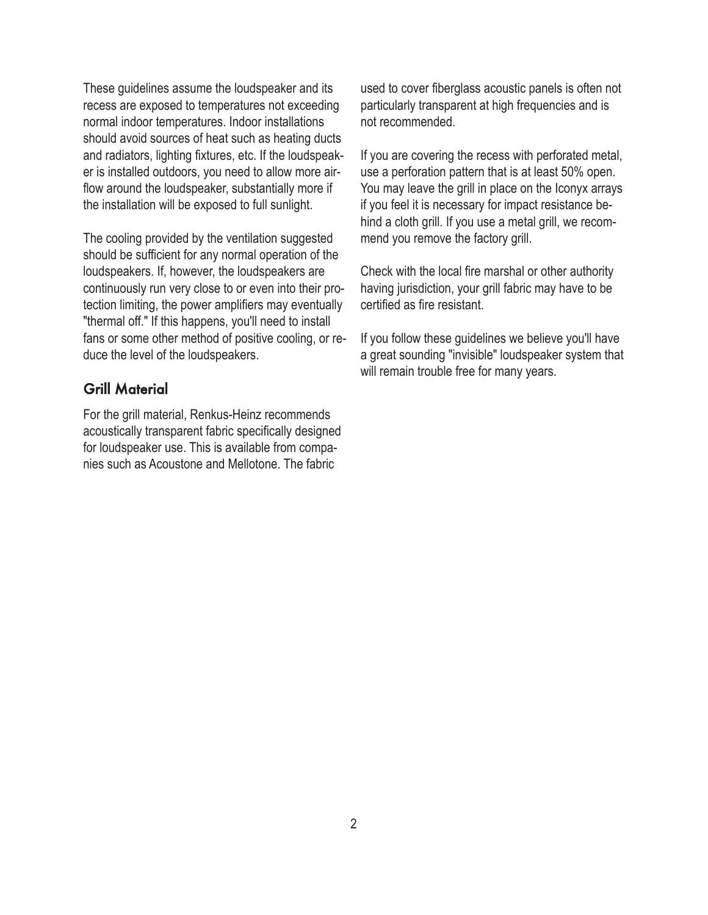These guidelines assume the loudspeaker and its recess are exposed to temperatures not exceeding normal indoor temperatures. Indoor installations should avoid sources of heat such as heating ducts and radiators, lighting fixtures, etc. If the loudspeaker is installed outdoors, you need to allow more airflow around the loudspeaker, substantially more if the installation will be exposed to full sunlight.

The cooling provided by the ventilation suggested should be sufficient for any normal operation of the loudspeakers. If, however, the loudspeakers are continuously run very close to or even into their protection limiting, the power amplifiers may eventually "thermal off." If this happens, you'll need to install fans or some other method of positive cooling, or reduce the level of the loudspeakers.

### Grill Material

For the grill material, Renkus-Heinz recommends acoustically transparent fabric specifically designed for loudspeaker use. This is available from companies such as Acoustone and Mellotone. The fabric

used to cover fiberglass acoustic panels is often not particularly transparent at high frequencies and is not recommended.

If you are covering the recess with perforated metal, use a perforation pattern that is at least 50% open. You may leave the grill in place on the Iconyx arrays if you feel it is necessary for impact resistance behind a cloth grill. If you use a metal grill, we recommend you remove the factory grill.

Check with the local fire marshal or other authority having jurisdiction, your grill fabric may have to be certified as fire resistant.

If you follow these guidelines we believe you'll have a great sounding "invisible" loudspeaker system that will remain trouble free for many years.